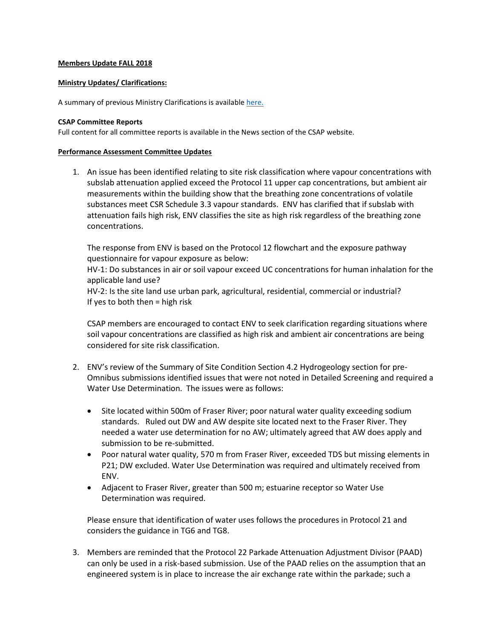# **Members Update FALL 2018**

### **Ministry Updates/ Clarifications:**

A summary of previous Ministry Clarifications is availabl[e here.](https://csapsociety.bc.ca/wp-content/uploads/Ministry-Updates-Spring-2018-to-Summer-2012.pdf)

### **CSAP Committee Reports**

Full content for all committee reports is available in the News section of the CSAP website.

### **Performance Assessment Committee Updates**

1. An issue has been identified relating to site risk classification where vapour concentrations with subslab attenuation applied exceed the Protocol 11 upper cap concentrations, but ambient air measurements within the building show that the breathing zone concentrations of volatile substances meet CSR Schedule 3.3 vapour standards. ENV has clarified that if subslab with attenuation fails high risk, ENV classifies the site as high risk regardless of the breathing zone concentrations.

The response from ENV is based on the Protocol 12 flowchart and the exposure pathway questionnaire for vapour exposure as below:

HV-1: Do substances in air or soil vapour exceed UC concentrations for human inhalation for the applicable land use?

HV-2: Is the site land use urban park, agricultural, residential, commercial or industrial? If yes to both then = high risk

CSAP members are encouraged to contact ENV to seek clarification regarding situations where soil vapour concentrations are classified as high risk and ambient air concentrations are being considered for site risk classification.

- 2. ENV's review of the Summary of Site Condition Section 4.2 Hydrogeology section for pre-Omnibus submissions identified issues that were not noted in Detailed Screening and required a Water Use Determination. The issues were as follows:
	- Site located within 500m of Fraser River; poor natural water quality exceeding sodium standards. Ruled out DW and AW despite site located next to the Fraser River. They needed a water use determination for no AW; ultimately agreed that AW does apply and submission to be re-submitted.
	- Poor natural water quality, 570 m from Fraser River, exceeded TDS but missing elements in P21; DW excluded. Water Use Determination was required and ultimately received from ENV.
	- Adjacent to Fraser River, greater than 500 m; estuarine receptor so Water Use Determination was required.

Please ensure that identification of water uses follows the procedures in Protocol 21 and considers the guidance in TG6 and TG8.

3. Members are reminded that the Protocol 22 Parkade Attenuation Adjustment Divisor (PAAD) can only be used in a risk-based submission. Use of the PAAD relies on the assumption that an engineered system is in place to increase the air exchange rate within the parkade; such a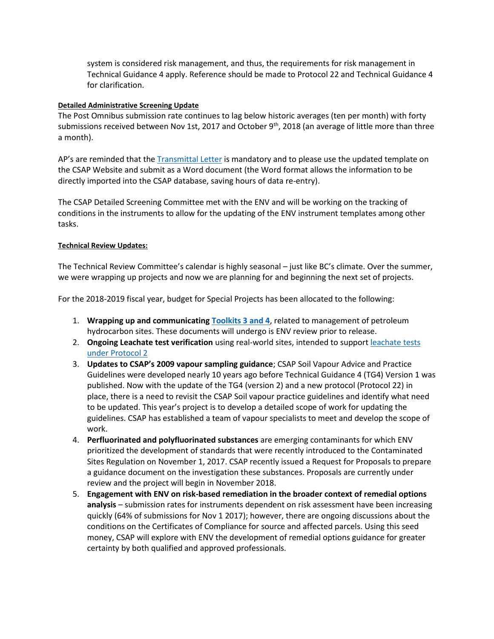system is considered risk management, and thus, the requirements for risk management in Technical Guidance 4 apply. Reference should be made to Protocol 22 and Technical Guidance 4 for clarification.

# **Detailed Administrative Screening Update**

The Post Omnibus submission rate continues to lag below historic averages (ten per month) with forty submissions received between Nov 1st, 2017 and October  $9<sup>th</sup>$ , 2018 (an average of little more than three a month).

AP's are reminded that the [Transmittal Letter](https://csapsociety.bc.ca/members/make-a-submission/) is mandatory and to please use the updated template on the CSAP Website and submit as a Word document (the Word format allows the information to be directly imported into the CSAP database, saving hours of data re-entry).

The CSAP Detailed Screening Committee met with the ENV and will be working on the tracking of conditions in the instruments to allow for the updating of the ENV instrument templates among other tasks.

# **Technical Review Updates:**

The Technical Review Committee's calendar is highly seasonal – just like BC's climate. Over the summer, we were wrapping up projects and now we are planning for and beginning the next set of projects.

For the 2018-2019 fiscal year, budget for Special Projects has been allocated to the following:

- 1. **Wrapping up and communicatin[g Toolkits 3 and 4](https://csapsociety.bc.ca/wp-content/uploads/07_Tech-Talk-Golder-Toolkits-V3.pdf)**, related to management of petroleum hydrocarbon sites. These documents will undergo is ENV review prior to release.
- 2. **Ongoing Leachate test verification** using real-world sites, intended to support [leachate tests](https://www2.gov.bc.ca/assets/gov/environment/air-land-water/site-remediation/docs/presentations/omnibus-2016/webinar_4-presentation.pdf)  [under Protocol 2](https://www2.gov.bc.ca/assets/gov/environment/air-land-water/site-remediation/docs/presentations/omnibus-2016/webinar_4-presentation.pdf)
- 3. **Updates to CSAP's 2009 vapour sampling guidance**; CSAP Soil Vapour Advice and Practice Guidelines were developed nearly 10 years ago before Technical Guidance 4 (TG4) Version 1 was published. Now with the update of the TG4 (version 2) and a new protocol (Protocol 22) in place, there is a need to revisit the CSAP Soil vapour practice guidelines and identify what need to be updated. This year's project is to develop a detailed scope of work for updating the guidelines. CSAP has established a team of vapour specialists to meet and develop the scope of work.
- 4. **Perfluorinated and polyfluorinated substances** are emerging contaminants for which ENV prioritized the development of standards that were recently introduced to the Contaminated Sites Regulation on November 1, 2017. CSAP recently issued a Request for Proposals to prepare a guidance document on the investigation these substances. Proposals are currently under review and the project will begin in November 2018.
- 5. **Engagement with ENV on risk-based remediation in the broader context of remedial options analysis** – submission rates for instruments dependent on risk assessment have been increasing quickly (64% of submissions for Nov 1 2017); however, there are ongoing discussions about the conditions on the Certificates of Compliance for source and affected parcels. Using this seed money, CSAP will explore with ENV the development of remedial options guidance for greater certainty by both qualified and approved professionals.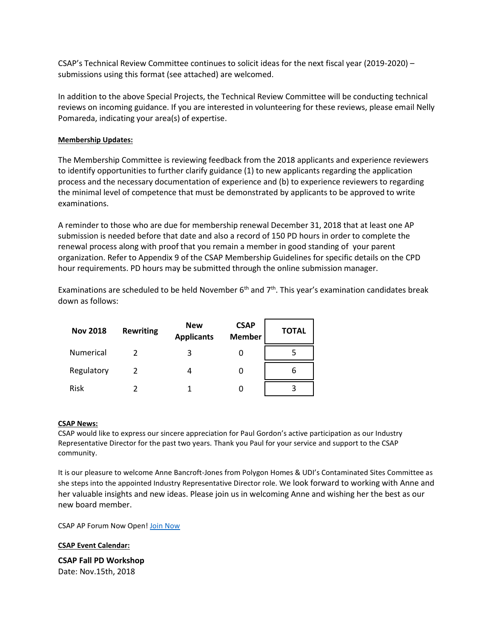CSAP's Technical Review Committee continues to solicit ideas for the next fiscal year (2019-2020) – submissions using this format (see attached) are welcomed.

In addition to the above Special Projects, the Technical Review Committee will be conducting technical reviews on incoming guidance. If you are interested in volunteering for these reviews, please email Nelly Pomareda, indicating your area(s) of expertise.

# **Membership Updates:**

The Membership Committee is reviewing feedback from the 2018 applicants and experience reviewers to identify opportunities to further clarify guidance (1) to new applicants regarding the application process and the necessary documentation of experience and (b) to experience reviewers to regarding the minimal level of competence that must be demonstrated by applicants to be approved to write examinations.

A reminder to those who are due for membership renewal December 31, 2018 that at least one AP submission is needed before that date and also a record of 150 PD hours in order to complete the renewal process along with proof that you remain a member in good standing of your parent organization. Refer to Appendix 9 of the CSAP Membership Guidelines for specific details on the CPD hour requirements. PD hours may be submitted through the online submission manager.

Examinations are scheduled to be held November  $6<sup>th</sup>$  and  $7<sup>th</sup>$ . This year's examination candidates break down as follows:

| <b>Nov 2018</b> | <b>Rewriting</b> | <b>New</b><br><b>Applicants</b> | <b>CSAP</b><br><b>Member</b> | <b>TOTAL</b> |
|-----------------|------------------|---------------------------------|------------------------------|--------------|
| Numerical       |                  |                                 | 0                            |              |
| Regulatory      |                  | Δ                               | O                            | b            |
| <b>Risk</b>     |                  |                                 |                              |              |

# **CSAP News:**

CSAP would like to express our sincere appreciation for Paul Gordon's active participation as our Industry Representative Director for the past two years. Thank you Paul for your service and support to the CSAP community.

It is our pleasure to welcome Anne Bancroft-Jones from Polygon Homes & UDI's Contaminated Sites Committee as she steps into the appointed Industry Representative Director role. We look forward to working with Anne and her valuable insights and new ideas. Please join us in welcoming Anne and wishing her the best as our new board member.

CSAP AP Forum Now Open! [Join Now](https://csapsociety.bc.ca/csap-forum-disclaimer/)

**CSAP Event Calendar:**

**CSAP Fall PD Workshop** Date: Nov.15th, 2018